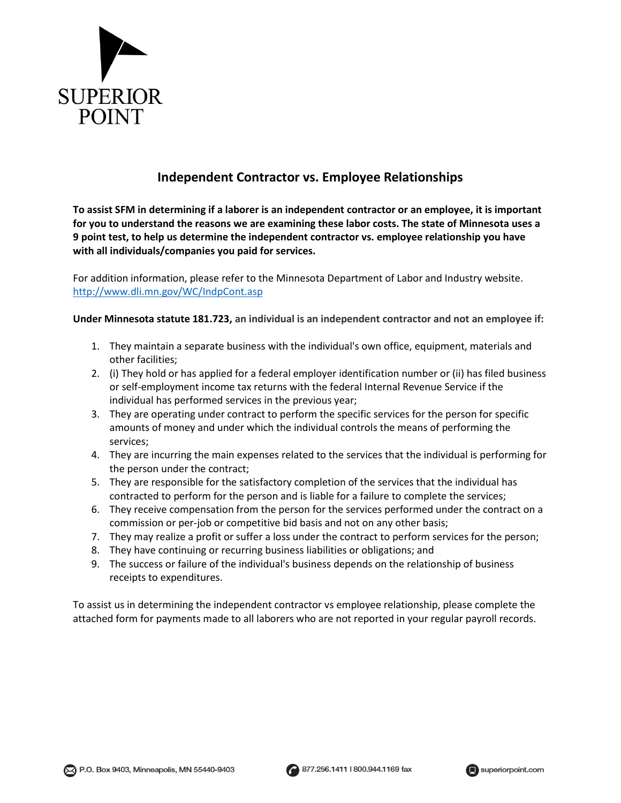

## **Independent Contractor vs. Employee Relationships**

**To assist SFM in determining if a laborer is an independent contractor or an employee, it is important for you to understand the reasons we are examining these labor costs. The state of Minnesota uses a 9 point test, to help us determine the independent contractor vs. employee relationship you have with all individuals/companies you paid for services.**

For addition information, please refer to the Minnesota Department of Labor and Industry website. <http://www.dli.mn.gov/WC/IndpCont.asp>

**Under Minnesota statute 181.723, an individual is an independent contractor and not an employee if:**

- 1. They maintain a separate business with the individual's own office, equipment, materials and other facilities;
- 2. (i) They hold or has applied for a federal employer identification number or (ii) has filed business or self-employment income tax returns with the federal Internal Revenue Service if the individual has performed services in the previous year;
- 3. They are operating under contract to perform the specific services for the person for specific amounts of money and under which the individual controls the means of performing the services;
- 4. They are incurring the main expenses related to the services that the individual is performing for the person under the contract;
- 5. They are responsible for the satisfactory completion of the services that the individual has contracted to perform for the person and is liable for a failure to complete the services;
- 6. They receive compensation from the person for the services performed under the contract on a commission or per-job or competitive bid basis and not on any other basis;
- 7. They may realize a profit or suffer a loss under the contract to perform services for the person;
- 8. They have continuing or recurring business liabilities or obligations; and
- 9. The success or failure of the individual's business depends on the relationship of business receipts to expenditures.

To assist us in determining the independent contractor vs employee relationship, please complete the attached form for payments made to all laborers who are not reported in your regular payroll records.



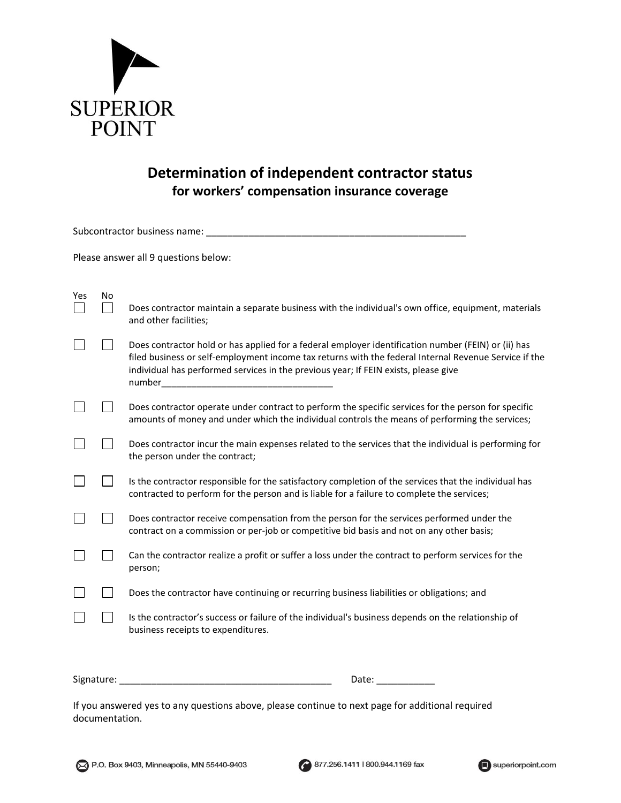

## **Determination of independent contractor status for workers' compensation insurance coverage**

| Subcontractor business name:         |    |                                                                                                                                                                                                                                                                                                               |
|--------------------------------------|----|---------------------------------------------------------------------------------------------------------------------------------------------------------------------------------------------------------------------------------------------------------------------------------------------------------------|
| Please answer all 9 questions below: |    |                                                                                                                                                                                                                                                                                                               |
| Yes                                  | No | Does contractor maintain a separate business with the individual's own office, equipment, materials<br>and other facilities;                                                                                                                                                                                  |
|                                      |    | Does contractor hold or has applied for a federal employer identification number (FEIN) or (ii) has<br>filed business or self-employment income tax returns with the federal Internal Revenue Service if the<br>individual has performed services in the previous year; If FEIN exists, please give<br>number |
|                                      |    | Does contractor operate under contract to perform the specific services for the person for specific<br>amounts of money and under which the individual controls the means of performing the services;                                                                                                         |
|                                      |    | Does contractor incur the main expenses related to the services that the individual is performing for<br>the person under the contract;                                                                                                                                                                       |
|                                      |    | Is the contractor responsible for the satisfactory completion of the services that the individual has<br>contracted to perform for the person and is liable for a failure to complete the services;                                                                                                           |
|                                      |    | Does contractor receive compensation from the person for the services performed under the<br>contract on a commission or per-job or competitive bid basis and not on any other basis;                                                                                                                         |
|                                      |    | Can the contractor realize a profit or suffer a loss under the contract to perform services for the<br>person;                                                                                                                                                                                                |
|                                      |    | Does the contractor have continuing or recurring business liabilities or obligations; and                                                                                                                                                                                                                     |
|                                      |    | Is the contractor's success or failure of the individual's business depends on the relationship of<br>business receipts to expenditures.                                                                                                                                                                      |

Signature: \_\_\_\_\_\_\_\_\_\_\_\_\_\_\_\_\_\_\_\_\_\_\_\_\_\_\_\_\_\_\_\_\_\_\_\_\_\_\_\_ Date: \_\_\_\_\_\_\_\_\_\_\_

If you answered yes to any questions above, please continue to next page for additional required documentation.